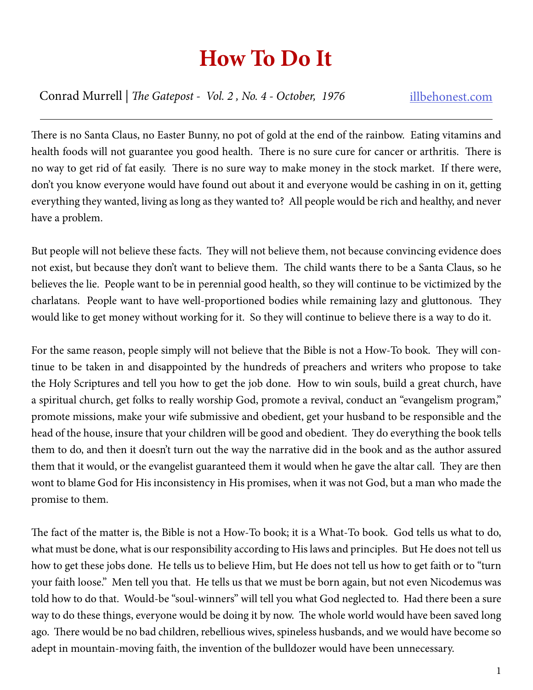## **How To Do It**

Conrad Murrell | *The Gatepost - Vol. 2 , No. 4 - October, 1976* illbehonest.com

There is no Santa Claus, no Easter Bunny, no pot of gold at the end of the rainbow. Eating vitamins and health foods will not guarantee you good health. There is no sure cure for cancer or arthritis. There is no way to get rid of fat easily. There is no sure way to make money in the stock market. If there were, don't you know everyone would have found out about it and everyone would be cashing in on it, getting everything they wanted, living as long as they wanted to? All people would be rich and healthy, and never have a problem.

But people will not believe these facts. They will not believe them, not because convincing evidence does not exist, but because they don't want to believe them. The child wants there to be a Santa Claus, so he believes the lie. People want to be in perennial good health, so they will continue to be victimized by the charlatans. People want to have well-proportioned bodies while remaining lazy and gluttonous. They would like to get money without working for it. So they will continue to believe there is a way to do it.

For the same reason, people simply will not believe that the Bible is not a How-To book. They will continue to be taken in and disappointed by the hundreds of preachers and writers who propose to take the Holy Scriptures and tell you how to get the job done. How to win souls, build a great church, have a spiritual church, get folks to really worship God, promote a revival, conduct an "evangelism program," promote missions, make your wife submissive and obedient, get your husband to be responsible and the head of the house, insure that your children will be good and obedient. They do everything the book tells them to do, and then it doesn't turn out the way the narrative did in the book and as the author assured them that it would, or the evangelist guaranteed them it would when he gave the altar call. They are then wont to blame God for His inconsistency in His promises, when it was not God, but a man who made the promise to them.

The fact of the matter is, the Bible is not a How-To book; it is a What-To book. God tells us what to do, what must be done, what is our responsibility according to His laws and principles. But He does not tell us how to get these jobs done. He tells us to believe Him, but He does not tell us how to get faith or to "turn your faith loose." Men tell you that. He tells us that we must be born again, but not even Nicodemus was told how to do that. Would-be "soul-winners" will tell you what God neglected to. Had there been a sure way to do these things, everyone would be doing it by now. The whole world would have been saved long ago. There would be no bad children, rebellious wives, spineless husbands, and we would have become so adept in mountain-moving faith, the invention of the bulldozer would have been unnecessary.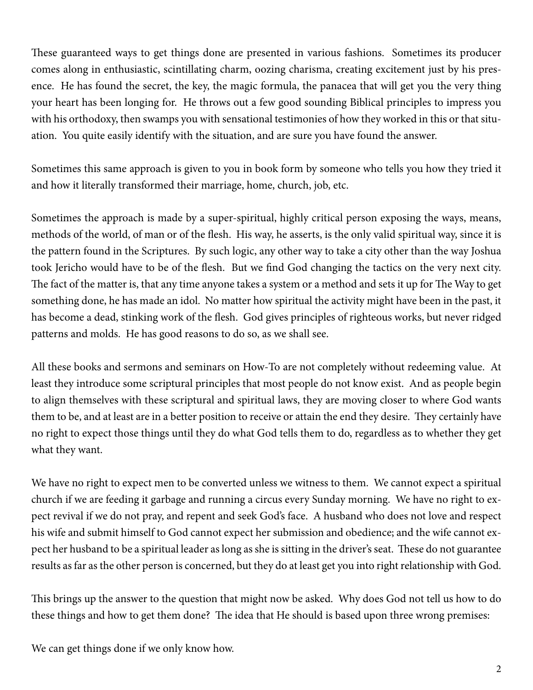These guaranteed ways to get things done are presented in various fashions. Sometimes its producer comes along in enthusiastic, scintillating charm, oozing charisma, creating excitement just by his presence. He has found the secret, the key, the magic formula, the panacea that will get you the very thing your heart has been longing for. He throws out a few good sounding Biblical principles to impress you with his orthodoxy, then swamps you with sensational testimonies of how they worked in this or that situation. You quite easily identify with the situation, and are sure you have found the answer.

Sometimes this same approach is given to you in book form by someone who tells you how they tried it and how it literally transformed their marriage, home, church, job, etc.

Sometimes the approach is made by a super-spiritual, highly critical person exposing the ways, means, methods of the world, of man or of the flesh. His way, he asserts, is the only valid spiritual way, since it is the pattern found in the Scriptures. By such logic, any other way to take a city other than the way Joshua took Jericho would have to be of the flesh. But we find God changing the tactics on the very next city. The fact of the matter is, that any time anyone takes a system or a method and sets it up for The Way to get something done, he has made an idol. No matter how spiritual the activity might have been in the past, it has become a dead, stinking work of the flesh. God gives principles of righteous works, but never ridged patterns and molds. He has good reasons to do so, as we shall see.

All these books and sermons and seminars on How-To are not completely without redeeming value. At least they introduce some scriptural principles that most people do not know exist. And as people begin to align themselves with these scriptural and spiritual laws, they are moving closer to where God wants them to be, and at least are in a better position to receive or attain the end they desire. They certainly have no right to expect those things until they do what God tells them to do, regardless as to whether they get what they want.

We have no right to expect men to be converted unless we witness to them. We cannot expect a spiritual church if we are feeding it garbage and running a circus every Sunday morning. We have no right to expect revival if we do not pray, and repent and seek God's face. A husband who does not love and respect his wife and submit himself to God cannot expect her submission and obedience; and the wife cannot expect her husband to be a spiritual leader as long as she is sitting in the driver's seat. These do not guarantee results as far as the other person is concerned, but they do at least get you into right relationship with God.

This brings up the answer to the question that might now be asked. Why does God not tell us how to do these things and how to get them done? The idea that He should is based upon three wrong premises:

We can get things done if we only know how.